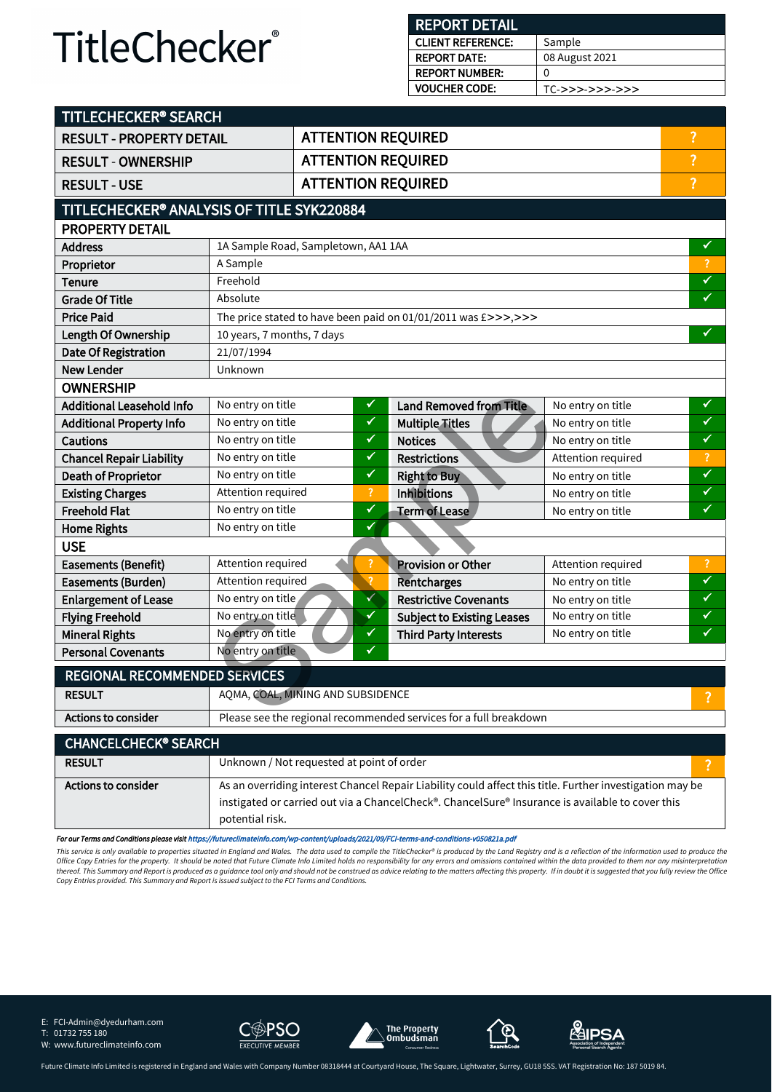#### **REPORT DETAIL**

| <b>CLIENT REFERENCE:</b> | Sample            |
|--------------------------|-------------------|
| <b>REPORT DATE:</b>      | 08 August 2021    |
| <b>REPORT NUMBER:</b>    | $\Omega$          |
| <b>VOUCHER CODE:</b>     | $TC->>>->>>->>>>$ |

| TITLECHECKER® SEARCH                      |                                                                   |  |                |                                                                                                          |                    |                          |
|-------------------------------------------|-------------------------------------------------------------------|--|----------------|----------------------------------------------------------------------------------------------------------|--------------------|--------------------------|
| <b>RESULT - PROPERTY DETAIL</b>           |                                                                   |  |                | <b>ATTENTION REQUIRED</b>                                                                                |                    | $\overline{\mathbf{?}}$  |
| <b>RESULT - OWNERSHIP</b>                 |                                                                   |  |                | <b>ATTENTION REQUIRED</b>                                                                                |                    | $\overline{\mathcal{L}}$ |
| <b>RESULT - USE</b>                       |                                                                   |  |                | <b>ATTENTION REQUIRED</b>                                                                                |                    | $\overline{?}$           |
| TITLECHECKER® ANALYSIS OF TITLE SYK220884 |                                                                   |  |                |                                                                                                          |                    |                          |
| <b>PROPERTY DETAIL</b>                    |                                                                   |  |                |                                                                                                          |                    |                          |
| <b>Address</b>                            | 1A Sample Road, Sampletown, AA1 1AA                               |  |                |                                                                                                          |                    | ✔                        |
| Proprietor                                | A Sample                                                          |  |                |                                                                                                          |                    | $\overline{?}$           |
| <b>Tenure</b>                             | Freehold                                                          |  |                |                                                                                                          |                    | $\checkmark$             |
| <b>Grade Of Title</b>                     | Absolute                                                          |  |                |                                                                                                          |                    | $\overline{\checkmark}$  |
| <b>Price Paid</b>                         |                                                                   |  |                | The price stated to have been paid on 01/01/2011 was $E \gg >>$ , $>>$                                   |                    |                          |
| Length Of Ownership                       | 10 years, 7 months, 7 days                                        |  |                |                                                                                                          |                    | V                        |
| <b>Date Of Registration</b>               | 21/07/1994                                                        |  |                |                                                                                                          |                    |                          |
| <b>New Lender</b>                         | Unknown                                                           |  |                |                                                                                                          |                    |                          |
| <b>OWNERSHIP</b>                          |                                                                   |  |                |                                                                                                          |                    |                          |
| <b>Additional Leasehold Info</b>          | No entry on title                                                 |  | ✔              | <b>Land Removed from Title</b>                                                                           | No entry on title  | ✓                        |
| <b>Additional Property Info</b>           | No entry on title                                                 |  | ✓              | <b>Multiple Titles</b>                                                                                   | No entry on title  | $\checkmark$             |
| <b>Cautions</b>                           | No entry on title                                                 |  | ✔              | <b>Notices</b>                                                                                           | No entry on title  | $\checkmark$             |
| <b>Chancel Repair Liability</b>           | No entry on title                                                 |  | ✓              | <b>Restrictions</b>                                                                                      | Attention required | $\overline{?}$           |
| Death of Proprietor                       | No entry on title                                                 |  | ✔              | <b>Right to Buy</b>                                                                                      | No entry on title  | $\checkmark$             |
| <b>Existing Charges</b>                   | Attention required                                                |  | $\overline{?}$ | <b>Inhibitions</b>                                                                                       | No entry on title  | $\checkmark$             |
| <b>Freehold Flat</b>                      | No entry on title                                                 |  | ✔              | <b>Term of Lease</b>                                                                                     | No entry on title  | $\checkmark$             |
| <b>Home Rights</b>                        | ✔<br>No entry on title                                            |  |                |                                                                                                          |                    |                          |
| <b>USE</b>                                |                                                                   |  |                |                                                                                                          |                    |                          |
| <b>Easements (Benefit)</b>                | Attention required                                                |  |                | <b>Provision or Other</b>                                                                                | Attention required | $\overline{\mathcal{L}}$ |
| Easements (Burden)                        | Attention required                                                |  | $\mathcal{L}$  | <b>Rentcharges</b>                                                                                       | No entry on title  | $\checkmark$             |
| <b>Enlargement of Lease</b>               | No entry on title                                                 |  | √              | <b>Restrictive Covenants</b>                                                                             | No entry on title  | ✓                        |
| <b>Flying Freehold</b>                    | No entry on title                                                 |  | ✔              | <b>Subject to Existing Leases</b>                                                                        | No entry on title  | ✔                        |
| <b>Mineral Rights</b>                     | No entry on title                                                 |  | ✔              | <b>Third Party Interests</b>                                                                             | No entry on title  | ✔                        |
| <b>Personal Covenants</b>                 | No entry on title                                                 |  | ✔              |                                                                                                          |                    |                          |
| <b>REGIONAL RECOMMENDED SERVICES</b>      |                                                                   |  |                |                                                                                                          |                    |                          |
| <b>RESULT</b>                             | AQMA, COAL, MINING AND SUBSIDENCE                                 |  |                | ?                                                                                                        |                    |                          |
| Actions to consider                       | Please see the regional recommended services for a full breakdown |  |                |                                                                                                          |                    |                          |
| <b>CHANCELCHECK® SEARCH</b>               |                                                                   |  |                |                                                                                                          |                    |                          |
| <b>RESULT</b>                             | Unknown / Not requested at point of order                         |  |                |                                                                                                          |                    | ?                        |
| <b>Actions to consider</b>                |                                                                   |  |                | As an overriding interest Chancel Repair Liability could affect this title. Further investigation may be |                    |                          |
|                                           |                                                                   |  |                | instigated or carried out via a ChancelCheck®. ChancelSure® Insurance is available to cover this         |                    |                          |
|                                           | potential risk.                                                   |  |                |                                                                                                          |                    |                          |

*For our Terms and Conditions please visit* [https://futureclimateinfo.com/wp-content/uploads/2021/09/FCI-terms-and-conditions-v050821a.pdf](https://futureclimateinfo.com/wp-content/uploads/2021/07/FCI-terms-and-conditions-v050821.pdf)

This service is only available to properties situated in England and Wales. The data used to compile the TitleChecker® is produced by the Land Registry and is a reflection of the information used to produce the Office Copy Entries for the property. It should be noted that Future Climate Info Limited holds no responsibility for any errors and omissions contained within the data provided to them nor any misinterpretation<br>thereof. T

E: FCI-Admin@dyedurham.com

T: 01732 755 180









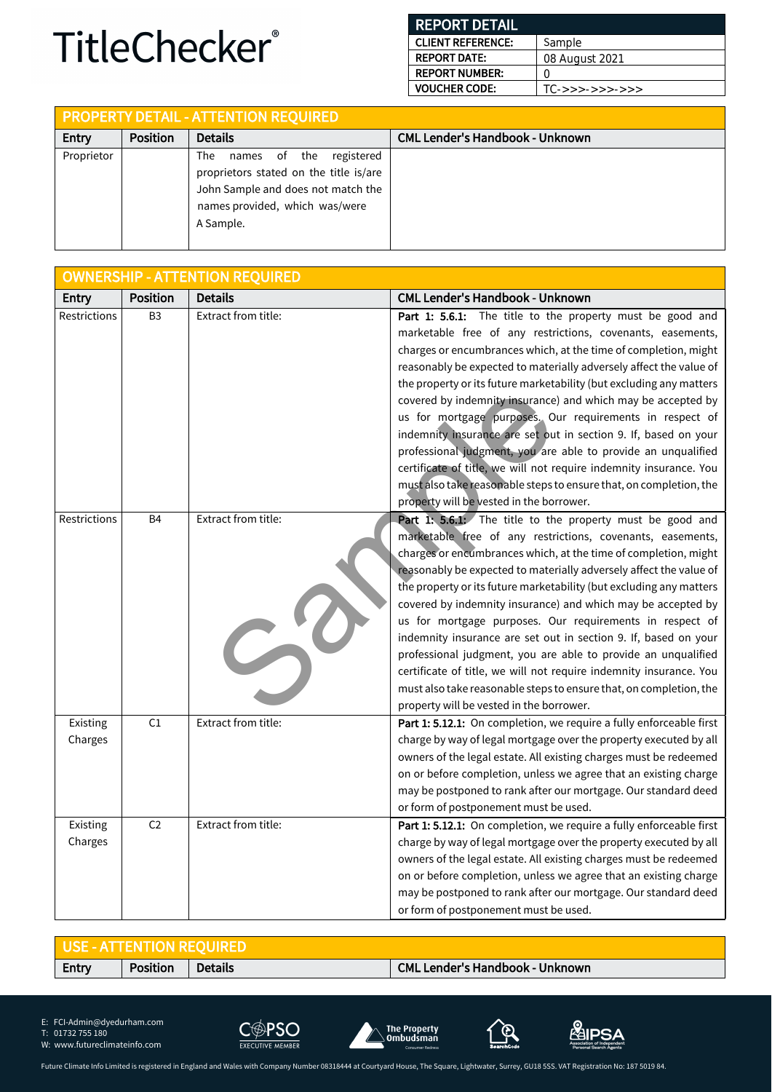#### **REPORT DETAIL CLIENT REFERENCE: REPORT DATE: REPORT NUMBER: VOUCHER CODE: Sample** 08 August 2021 0 TC->>>->>>->>>

|            |                 | <b>PROPERTY DETAIL - ATTENTION REQUIRED</b>                                                                                                                   |                                        |
|------------|-----------------|---------------------------------------------------------------------------------------------------------------------------------------------------------------|----------------------------------------|
| Entry      | <b>Position</b> | <b>Details</b>                                                                                                                                                | <b>CML Lender's Handbook - Unknown</b> |
| Proprietor |                 | names of the registered<br>The<br>proprietors stated on the title is/are<br>John Sample and does not match the<br>names provided, which was/were<br>A Sample. |                                        |

|                     |                 | <b>OWNERSHIP - ATTENTION REQUIRED</b> |                                                                                                                                                                                                                                                                                                                                                                                                                                                                                                                                                                                                                                                                                                                                                                                                 |
|---------------------|-----------------|---------------------------------------|-------------------------------------------------------------------------------------------------------------------------------------------------------------------------------------------------------------------------------------------------------------------------------------------------------------------------------------------------------------------------------------------------------------------------------------------------------------------------------------------------------------------------------------------------------------------------------------------------------------------------------------------------------------------------------------------------------------------------------------------------------------------------------------------------|
| Entry               | <b>Position</b> | <b>Details</b>                        | <b>CML Lender's Handbook - Unknown</b>                                                                                                                                                                                                                                                                                                                                                                                                                                                                                                                                                                                                                                                                                                                                                          |
| Restrictions        | B <sub>3</sub>  | Extract from title:                   | Part 1: 5.6.1: The title to the property must be good and<br>marketable free of any restrictions, covenants, easements,<br>charges or encumbrances which, at the time of completion, might<br>reasonably be expected to materially adversely affect the value of<br>the property or its future marketability (but excluding any matters<br>covered by indemnity insurance) and which may be accepted by<br>us for mortgage purposes. Our requirements in respect of<br>indemnity insurance are set out in section 9. If, based on your<br>professional judgment, you are able to provide an unqualified<br>certificate of title, we will not require indemnity insurance. You<br>must also take reasonable steps to ensure that, on completion, the<br>property will be vested in the borrower. |
| Restrictions        | B <sub>4</sub>  | Extract from title:<br>5              | Part 1: 5.6.1: The title to the property must be good and<br>marketable free of any restrictions, covenants, easements,<br>charges or encumbrances which, at the time of completion, might<br>reasonably be expected to materially adversely affect the value of<br>the property or its future marketability (but excluding any matters<br>covered by indemnity insurance) and which may be accepted by<br>us for mortgage purposes. Our requirements in respect of<br>indemnity insurance are set out in section 9. If, based on your<br>professional judgment, you are able to provide an unqualified<br>certificate of title, we will not require indemnity insurance. You<br>must also take reasonable steps to ensure that, on completion, the<br>property will be vested in the borrower. |
| Existing<br>Charges | C1              | Extract from title:                   | Part 1: 5.12.1: On completion, we require a fully enforceable first<br>charge by way of legal mortgage over the property executed by all<br>owners of the legal estate. All existing charges must be redeemed<br>on or before completion, unless we agree that an existing charge<br>may be postponed to rank after our mortgage. Our standard deed<br>or form of postponement must be used.                                                                                                                                                                                                                                                                                                                                                                                                    |
| Existing<br>Charges | C <sub>2</sub>  | Extract from title:                   | Part 1: 5.12.1: On completion, we require a fully enforceable first<br>charge by way of legal mortgage over the property executed by all<br>owners of the legal estate. All existing charges must be redeemed<br>on or before completion, unless we agree that an existing charge<br>may be postponed to rank after our mortgage. Our standard deed<br>or form of postponement must be used.                                                                                                                                                                                                                                                                                                                                                                                                    |

| <b>LUSE - ATTENTION REOUIRED</b> |                 |                |                                        |
|----------------------------------|-----------------|----------------|----------------------------------------|
| Entry                            | <b>Position</b> | <b>Details</b> | <b>CML Lender's Handbook - Unknown</b> |

E: FCI-Admin@dyedurham.com

T: 01732 755 180









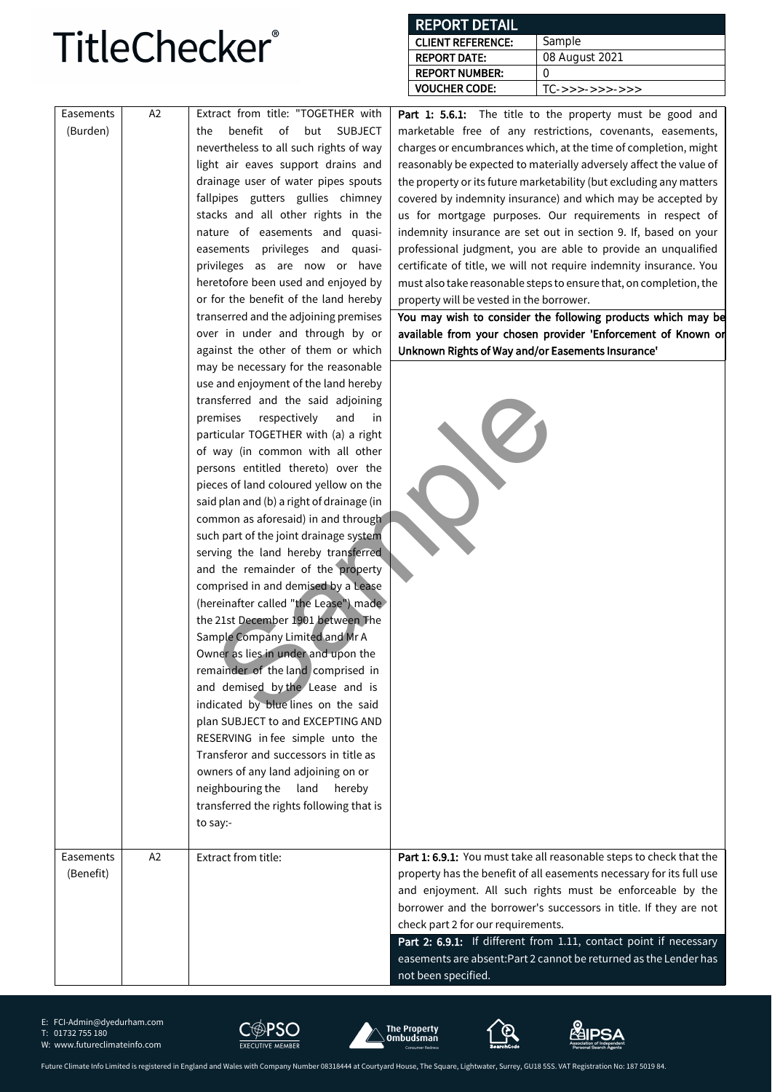#### **REPORT DETAIL**

| <b>CLIENT REFERENCE:</b> | Sample              |
|--------------------------|---------------------|
| <b>REPORT DATE:</b>      | 08 August 2021      |
| <b>REPORT NUMBER:</b>    |                     |
| <b>VOUCHER CODE:</b>     | $TC->->->->->->->>$ |

| Easements | A <sub>2</sub> | Extract from title: "TOGETHER with            | <b>Part 1: 5.6.1:</b> The title to the property must be good and     |
|-----------|----------------|-----------------------------------------------|----------------------------------------------------------------------|
| (Burden)  |                | benefit<br>of<br>but<br><b>SUBJECT</b><br>the | marketable free of any restrictions, covenants, easements,           |
|           |                | nevertheless to all such rights of way        | charges or encumbrances which, at the time of completion, might      |
|           |                | light air eaves support drains and            | reasonably be expected to materially adversely affect the value of   |
|           |                | drainage user of water pipes spouts           | the property or its future marketability (but excluding any matters  |
|           |                | fallpipes gutters gullies chimney             | covered by indemnity insurance) and which may be accepted by         |
|           |                | stacks and all other rights in the            | us for mortgage purposes. Our requirements in respect of             |
|           |                | nature of easements and quasi-                | indemnity insurance are set out in section 9. If, based on your      |
|           |                | easements privileges and quasi-               | professional judgment, you are able to provide an unqualified        |
|           |                | privileges as are now or have                 | certificate of title, we will not require indemnity insurance. You   |
|           |                | heretofore been used and enjoyed by           | must also take reasonable steps to ensure that, on completion, the   |
|           |                | or for the benefit of the land hereby         | property will be vested in the borrower.                             |
|           |                | transerred and the adjoining premises         | You may wish to consider the following products which may be         |
|           |                | over in under and through by or               | available from your chosen provider 'Enforcement of Known or         |
|           |                | against the other of them or which            | Unknown Rights of Way and/or Easements Insurance'                    |
|           |                | may be necessary for the reasonable           |                                                                      |
|           |                | use and enjoyment of the land hereby          |                                                                      |
|           |                | transferred and the said adjoining            |                                                                      |
|           |                | premises<br>respectively<br>and<br>in         |                                                                      |
|           |                | particular TOGETHER with (a) a right          |                                                                      |
|           |                | of way (in common with all other              |                                                                      |
|           |                | persons entitled thereto) over the            |                                                                      |
|           |                | pieces of land coloured yellow on the         |                                                                      |
|           |                | said plan and (b) a right of drainage (in     |                                                                      |
|           |                | common as aforesaid) in and through           |                                                                      |
|           |                | such part of the joint drainage system        |                                                                      |
|           |                | serving the land hereby transferred           |                                                                      |
|           |                | and the remainder of the property             |                                                                      |
|           |                | comprised in and demised by a Lease           |                                                                      |
|           |                | (hereinafter called "the Lease") made         |                                                                      |
|           |                | the 21st December 1901 between The            |                                                                      |
|           |                | Sample Company Limited and Mr A               |                                                                      |
|           |                | Owner as lies in under and upon the           |                                                                      |
|           |                | remainder of the land comprised in            |                                                                      |
|           |                | and demised by the Lease and is               |                                                                      |
|           |                | indicated by blue lines on the said           |                                                                      |
|           |                | plan SUBJECT to and EXCEPTING AND             |                                                                      |
|           |                | RESERVING in fee simple unto the              |                                                                      |
|           |                | Transferor and successors in title as         |                                                                      |
|           |                | owners of any land adjoining on or            |                                                                      |
|           |                | neighbouring the<br>land hereby               |                                                                      |
|           |                | transferred the rights following that is      |                                                                      |
|           |                | to say:-                                      |                                                                      |
|           |                |                                               |                                                                      |
| Easements | A2             | Extract from title:                           | Part 1: 6.9.1: You must take all reasonable steps to check that the  |
| (Benefit) |                |                                               | property has the benefit of all easements necessary for its full use |
|           |                |                                               | and enjoyment. All such rights must be enforceable by the            |
|           |                |                                               | borrower and the borrower's successors in title. If they are not     |
|           |                |                                               | check part 2 for our requirements.                                   |
|           |                |                                               | Part 2: 6.9.1: If different from 1.11, contact point if necessary    |
|           |                |                                               | easements are absent: Part 2 cannot be returned as the Lender has    |
|           |                |                                               | not been specified.                                                  |

E: FCI-Admin@dyedurham.com

T: 01732 755 180









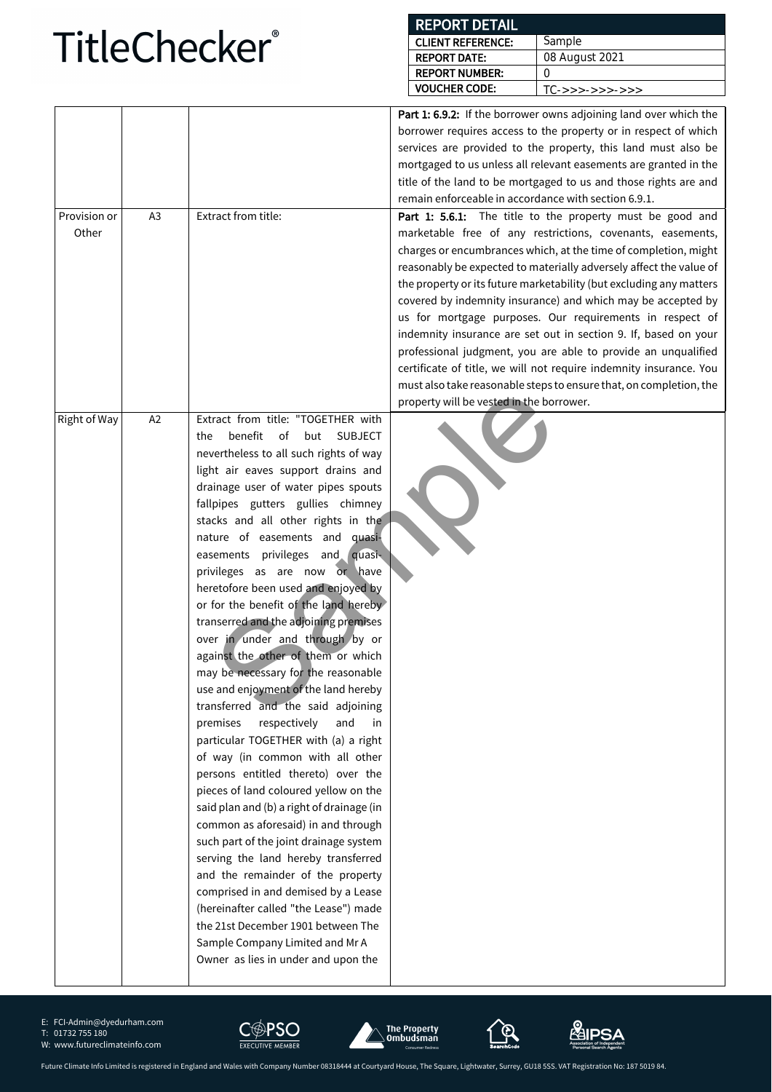#### **REPORT DETAIL CLIENT REFERENCE: REPORT DATE: Sample** 08 August 2021

|                       |                |                                                                                | אורש ואיט ואי                                        | uu Auyust Zuz i                                                                                                         |
|-----------------------|----------------|--------------------------------------------------------------------------------|------------------------------------------------------|-------------------------------------------------------------------------------------------------------------------------|
|                       |                |                                                                                | <b>REPORT NUMBER:</b><br><b>VOUCHER CODE:</b>        | $\Omega$<br>$TC->->->->->->->>$                                                                                         |
|                       |                |                                                                                |                                                      |                                                                                                                         |
|                       |                |                                                                                |                                                      | Part 1: 6.9.2: If the borrower owns adjoining land over which the                                                       |
|                       |                |                                                                                |                                                      | borrower requires access to the property or in respect of which                                                         |
|                       |                |                                                                                |                                                      | services are provided to the property, this land must also be                                                           |
|                       |                |                                                                                |                                                      | mortgaged to us unless all relevant easements are granted in the                                                        |
|                       |                |                                                                                | remain enforceable in accordance with section 6.9.1. | title of the land to be mortgaged to us and those rights are and                                                        |
|                       |                | Extract from title:                                                            |                                                      |                                                                                                                         |
| Provision or<br>Other | A <sub>3</sub> |                                                                                |                                                      | Part 1: 5.6.1: The title to the property must be good and<br>marketable free of any restrictions, covenants, easements, |
|                       |                |                                                                                |                                                      | charges or encumbrances which, at the time of completion, might                                                         |
|                       |                |                                                                                |                                                      | reasonably be expected to materially adversely affect the value of                                                      |
|                       |                |                                                                                |                                                      | the property or its future marketability (but excluding any matters                                                     |
|                       |                |                                                                                |                                                      | covered by indemnity insurance) and which may be accepted by                                                            |
|                       |                |                                                                                |                                                      | us for mortgage purposes. Our requirements in respect of                                                                |
|                       |                |                                                                                |                                                      | indemnity insurance are set out in section 9. If, based on your                                                         |
|                       |                |                                                                                |                                                      | professional judgment, you are able to provide an unqualified                                                           |
|                       |                |                                                                                |                                                      | certificate of title, we will not require indemnity insurance. You                                                      |
|                       |                |                                                                                |                                                      | must also take reasonable steps to ensure that, on completion, the                                                      |
|                       |                |                                                                                | property will be vested in the borrower.             |                                                                                                                         |
| Right of Way          | A2             | Extract from title: "TOGETHER with                                             |                                                      |                                                                                                                         |
|                       |                | benefit<br>of<br>but<br><b>SUBJECT</b><br>the                                  |                                                      |                                                                                                                         |
|                       |                | nevertheless to all such rights of way                                         |                                                      |                                                                                                                         |
|                       |                | light air eaves support drains and                                             |                                                      |                                                                                                                         |
|                       |                | drainage user of water pipes spouts                                            |                                                      |                                                                                                                         |
|                       |                | fallpipes gutters gullies chimney                                              |                                                      |                                                                                                                         |
|                       |                | stacks and all other rights in the                                             |                                                      |                                                                                                                         |
|                       |                | nature of easements and quasi-                                                 |                                                      |                                                                                                                         |
|                       |                | easements privileges and quasi-                                                |                                                      |                                                                                                                         |
|                       |                | privileges as are now or have                                                  |                                                      |                                                                                                                         |
|                       |                | heretofore been used and enjoyed by                                            |                                                      |                                                                                                                         |
|                       |                | or for the benefit of the land hereby<br>transerred and the adjoining premises |                                                      |                                                                                                                         |
|                       |                | over in under and through by or                                                |                                                      |                                                                                                                         |
|                       |                | against the other of them or which                                             |                                                      |                                                                                                                         |
|                       |                | may be necessary for the reasonable                                            |                                                      |                                                                                                                         |
|                       |                | use and enjoyment of the land hereby                                           |                                                      |                                                                                                                         |
|                       |                | transferred and the said adjoining                                             |                                                      |                                                                                                                         |
|                       |                | premises<br>respectively<br>and<br>in                                          |                                                      |                                                                                                                         |
|                       |                | particular TOGETHER with (a) a right                                           |                                                      |                                                                                                                         |
|                       |                | of way (in common with all other                                               |                                                      |                                                                                                                         |
|                       |                | persons entitled thereto) over the                                             |                                                      |                                                                                                                         |
|                       |                | pieces of land coloured yellow on the                                          |                                                      |                                                                                                                         |
|                       |                | said plan and (b) a right of drainage (in                                      |                                                      |                                                                                                                         |
|                       |                | common as aforesaid) in and through                                            |                                                      |                                                                                                                         |
|                       |                | such part of the joint drainage system                                         |                                                      |                                                                                                                         |
|                       |                | serving the land hereby transferred                                            |                                                      |                                                                                                                         |
|                       |                | and the remainder of the property                                              |                                                      |                                                                                                                         |
|                       |                | comprised in and demised by a Lease                                            |                                                      |                                                                                                                         |
|                       |                | (hereinafter called "the Lease") made<br>the 21st December 1901 between The    |                                                      |                                                                                                                         |
|                       |                |                                                                                |                                                      |                                                                                                                         |

E: FCI-Admin@dyedurham.com

T: 01732 755 180





Sample Company Limited and Mr A Owner as lies in under and upon the





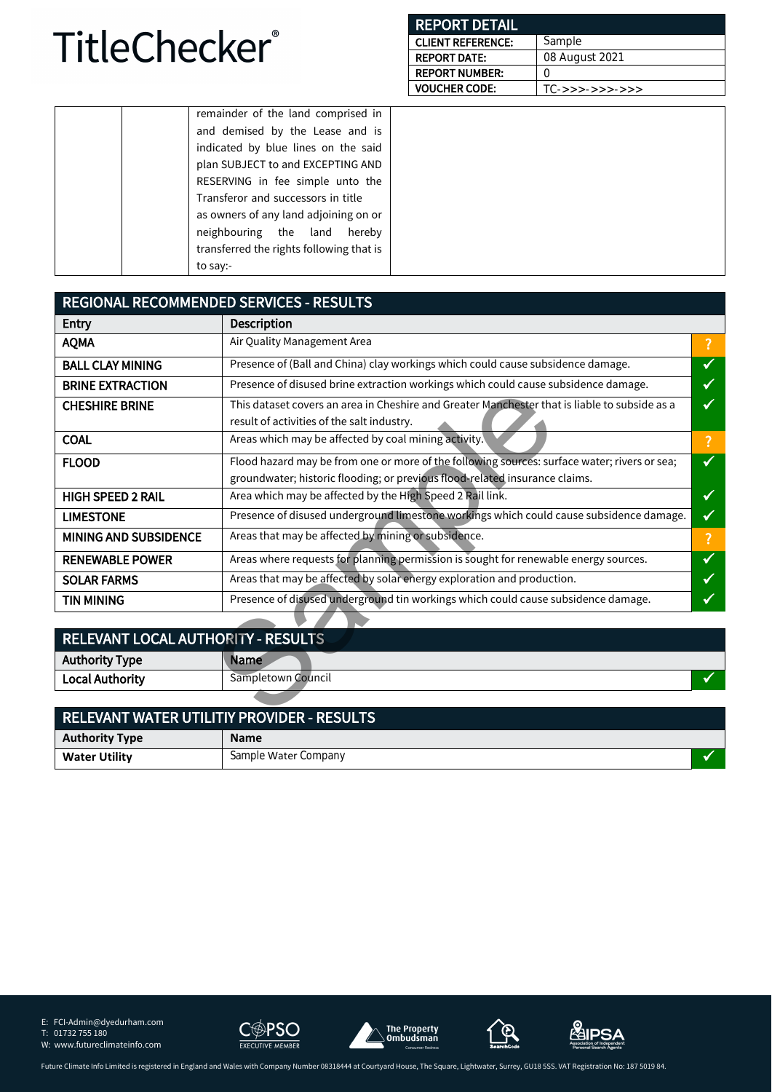| <b>REPORT DETAIL</b>     |                     |
|--------------------------|---------------------|
| <b>CLIENT REFERENCE:</b> | Sample              |
| <b>REPORT DATE:</b>      | 08 August 2021      |
| <b>REPORT NUMBER:</b>    | $\left( \right)$    |
| <b>VOUCHER CODE:</b>     | $TC->->->->->->->>$ |

| remainder of the land comprised in       |
|------------------------------------------|
| and demised by the Lease and is          |
| indicated by blue lines on the said      |
| plan SUBJECT to and EXCEPTING AND        |
| RESERVING in fee simple unto the         |
| Transferor and successors in title       |
| as owners of any land adjoining on or    |
| neighbouring the land hereby             |
| transferred the rights following that is |
| to say:-                                 |
|                                          |

| <b>REGIONAL RECOMMENDED SERVICES - RESULTS</b>     |                                                                                                                                                                             |              |  |
|----------------------------------------------------|-----------------------------------------------------------------------------------------------------------------------------------------------------------------------------|--------------|--|
| Entry                                              | <b>Description</b>                                                                                                                                                          |              |  |
| <b>AQMA</b>                                        | Air Quality Management Area                                                                                                                                                 |              |  |
| <b>BALL CLAY MINING</b>                            | Presence of (Ball and China) clay workings which could cause subsidence damage.                                                                                             | ✓            |  |
| <b>BRINE EXTRACTION</b>                            | Presence of disused brine extraction workings which could cause subsidence damage.                                                                                          |              |  |
| <b>CHESHIRE BRINE</b>                              | This dataset covers an area in Cheshire and Greater Manchester that is liable to subside as a<br>result of activities of the salt industry.                                 | ✔            |  |
| <b>COAL</b>                                        | Areas which may be affected by coal mining activity.                                                                                                                        | ?            |  |
| <b>FLOOD</b>                                       | Flood hazard may be from one or more of the following sources: surface water; rivers or sea;<br>groundwater; historic flooding; or previous flood-related insurance claims. |              |  |
| <b>HIGH SPEED 2 RAIL</b>                           | Area which may be affected by the High Speed 2 Rail link.                                                                                                                   | √            |  |
| <b>LIMESTONE</b>                                   | Presence of disused underground limestone workings which could cause subsidence damage.                                                                                     | ✔            |  |
| <b>MINING AND SUBSIDENCE</b>                       | Areas that may be affected by mining or subsidence.                                                                                                                         | ?            |  |
| <b>RENEWABLE POWER</b>                             | Areas where requests for planning permission is sought for renewable energy sources.                                                                                        | $\checkmark$ |  |
| <b>SOLAR FARMS</b>                                 | Areas that may be affected by solar energy exploration and production.                                                                                                      |              |  |
| <b>TIN MINING</b>                                  | Presence of disused underground tin workings which could cause subsidence damage.                                                                                           |              |  |
|                                                    |                                                                                                                                                                             |              |  |
| RELEVANT LOCAL AUTHORITY - RESULTS                 |                                                                                                                                                                             |              |  |
| <b>Authority Type</b>                              | Name                                                                                                                                                                        |              |  |
| <b>Local Authority</b>                             | Sampletown Council                                                                                                                                                          |              |  |
|                                                    |                                                                                                                                                                             |              |  |
| <b>DELEVANT WATED LITH ITIV DDOVIDED. DECLILTS</b> |                                                                                                                                                                             |              |  |

| <b>RELEVANT LOCAL AUTHORITY - RESULTS</b> |                                                   |  |
|-------------------------------------------|---------------------------------------------------|--|
| <b>Authority Type</b>                     | <b>Name</b>                                       |  |
| <b>Local Authority</b>                    | Sampletown Council                                |  |
|                                           |                                                   |  |
|                                           | <b>RELEVANT WATER UTILITIY PROVIDER - RESULTS</b> |  |

| RELEVANT WATER UTILITIT FROVIDER - RESULTS |                      |  |
|--------------------------------------------|----------------------|--|
| <b>Authority Type</b>                      | <b>Name</b>          |  |
| <b>Water Utility</b>                       | Sample Water Company |  |

E: FCI-Admin@dyedurham.com

T: 01732 755 180

W: www.futureclimateinfo.com